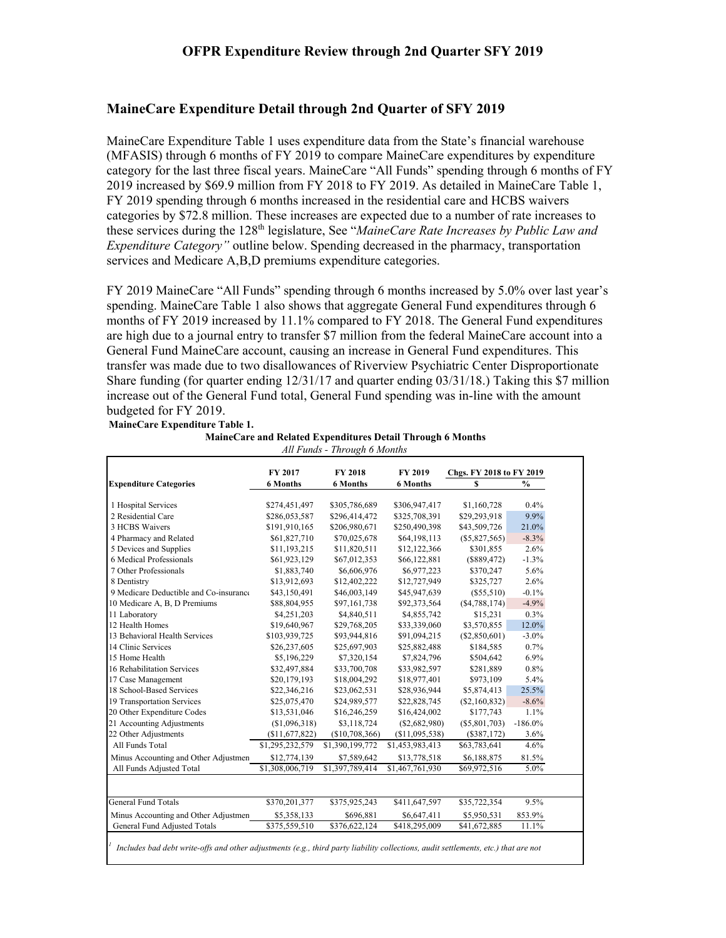### **MaineCare Expenditure Detail through 2nd Quarter of SFY 2019**

MaineCare Expenditure Table 1 uses expenditure data from the State's financial warehouse (MFASIS) through 6 months of FY 2019 to compare MaineCare expenditures by expenditure category for the last three fiscal years. MaineCare "All Funds" spending through 6 months of FY 2019 increased by \$69.9 million from FY 2018 to FY 2019. As detailed in MaineCare Table 1, FY 2019 spending through 6 months increased in the residential care and HCBS waivers categories by \$72.8 million. These increases are expected due to a number of rate increases to these services during the 128<sup>th</sup> legislature, See "*MaineCare Rate Increases by Public Law and Expenditure Category"* outline below. Spending decreased in the pharmacy, transportation services and Medicare A,B,D premiums expenditure categories.

FY 2019 MaineCare "All Funds" spending through 6 months increased by 5.0% over last year's spending. MaineCare Table 1 also shows that aggregate General Fund expenditures through 6 months of FY 2019 increased by 11.1% compared to FY 2018. The General Fund expenditures are high due to a journal entry to transfer \$7 million from the federal MaineCare account into a General Fund MaineCare account, causing an increase in General Fund expenditures. This transfer was made due to two disallowances of Riverview Psychiatric Center Disproportionate Share funding (for quarter ending 12/31/17 and quarter ending 03/31/18.) Taking this \$7 million increase out of the General Fund total, General Fund spending was in-line with the amount budgeted for FY 2019.

**MaineCare Expenditure Table 1.**

| MaineCare and Related Expenditures Detail Through 6 Months |  |  |
|------------------------------------------------------------|--|--|
|                                                            |  |  |

|                                        |                 | FY 2018         |                 |                          |               |  |
|----------------------------------------|-----------------|-----------------|-----------------|--------------------------|---------------|--|
|                                        | FY 2017         |                 | FY 2019         | Chgs. FY 2018 to FY 2019 |               |  |
| <b>Expenditure Categories</b>          | <b>6 Months</b> | <b>6 Months</b> | <b>6 Months</b> | S                        | $\frac{0}{0}$ |  |
| 1 Hospital Services                    | \$274,451,497   | \$305,786,689   | \$306,947,417   | \$1,160,728              | 0.4%          |  |
| 2 Residential Care                     | \$286,053,587   | \$296,414,472   | \$325,708,391   | \$29,293,918             | 9.9%          |  |
| 3 HCBS Waivers                         | \$191,910,165   | \$206,980,671   | \$250,490,398   | \$43,509,726             | 21.0%         |  |
| 4 Pharmacy and Related                 | \$61,827,710    | \$70,025,678    | \$64,198,113    | $(\$5,827,565)$          | $-8.3%$       |  |
| 5 Devices and Supplies                 | \$11,193,215    | \$11,820,511    | \$12,122,366    | \$301,855                | 2.6%          |  |
| 6 Medical Professionals                | \$61,923,129    | \$67,012,353    | \$66,122,881    | (\$889,472)              | $-1.3%$       |  |
| 7 Other Professionals                  | \$1,883,740     | \$6,606,976     | \$6,977,223     | \$370,247                | 5.6%          |  |
| 8 Dentistry                            | \$13,912,693    | \$12,402,222    | \$12,727,949    | \$325,727                | 2.6%          |  |
| 9 Medicare Deductible and Co-insurance | \$43,150,491    | \$46,003,149    | \$45,947,639    | (S55, 510)               | $-0.1\%$      |  |
| 10 Medicare A, B, D Premiums           | \$88,804,955    | \$97,161,738    | \$92,373,564    | (S4, 788, 174)           | $-4.9%$       |  |
| 11 Laboratory                          | \$4,251,203     | \$4,840,511     | \$4,855,742     | \$15,231                 | $0.3\%$       |  |
| 12 Health Homes                        | \$19,640,967    | \$29,768,205    | \$33,339,060    | \$3,570,855              | 12.0%         |  |
| 13 Behavioral Health Services          | \$103,939,725   | \$93,944,816    | \$91,094,215    | (\$2,850,601)            | $-3.0\%$      |  |
| 14 Clinic Services                     | \$26,237,605    | \$25,697,903    | \$25,882,488    | \$184,585                | 0.7%          |  |
| 15 Home Health                         | \$5,196,229     | \$7,320,154     | \$7,824,796     | \$504,642                | 6.9%          |  |
| 16 Rehabilitation Services             | \$32,497,884    | \$33,700,708    | \$33,982,597    | \$281,889                | 0.8%          |  |
| 17 Case Management                     | \$20,179,193    | \$18,004,292    | \$18,977,401    | \$973,109                | 5.4%          |  |
| 18 School-Based Services               | \$22,346,216    | \$23,062,531    | \$28,936,944    | \$5,874,413              | 25.5%         |  |
| 19 Transportation Services             | \$25,075,470    | \$24,989,577    | \$22,828,745    | (S2,160,832)             | $-8.6\%$      |  |
| 20 Other Expenditure Codes             | \$13,531,046    | \$16,246,259    | \$16,424,002    | \$177,743                | 1.1%          |  |
| 21 Accounting Adjustments              | (\$1,096,318)   | \$3,118,724     | $(\$2,682,980)$ | $(\$5,801,703)$          | $-186.0\%$    |  |
| 22 Other Adjustments                   | (S11, 677, 822) | (\$10,708,366)  | (S11,095,538)   | (\$387,172)              | 3.6%          |  |
| All Funds Total                        | \$1,295,232,579 | \$1,390,199,772 | \$1,453,983,413 | \$63,783,641             | 4.6%          |  |
| Minus Accounting and Other Adjustmen   | \$12,774,139    | \$7,589,642     | \$13,778,518    | \$6,188,875              | 81.5%         |  |
| All Funds Adjusted Total               | \$1,308,006,719 | \$1,397,789,414 | \$1,467,761,930 | \$69,972,516             | 5.0%          |  |
|                                        |                 |                 |                 |                          |               |  |
| <b>General Fund Totals</b>             | \$370,201,377   | \$375,925,243   | \$411,647,597   | \$35,722,354             | 9.5%          |  |
| Minus Accounting and Other Adjustmen   | \$5,358,133     | \$696,881       | \$6,647,411     | \$5,950,531              | 853.9%        |  |
| General Fund Adjusted Totals           | \$375,559,510   | \$376,622,124   | \$418,295,009   | \$41,672,885             | 11.1%         |  |

*All Funds - Through 6 Months*

*1 Includes bad debt write-offs and other adjustments (e.g., third party liability collections, audit settlements, etc.) that are not*